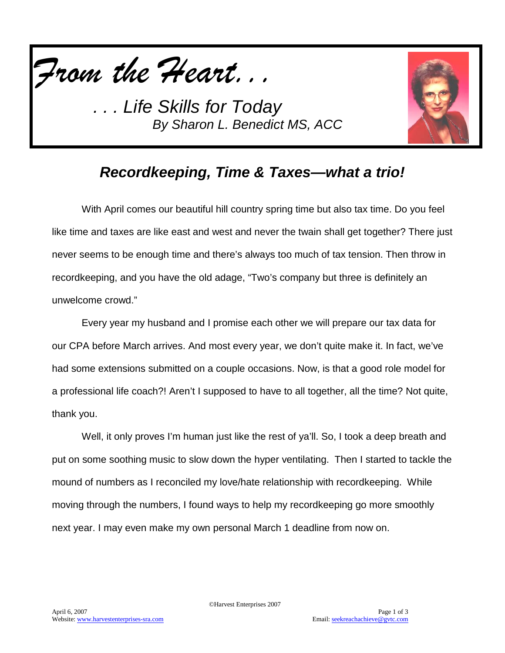

*. . . Life Skills for Today By Sharon L. Benedict MS, ACC*



## *Recordkeeping, Time & Taxes—what a trio!*

With April comes our beautiful hill country spring time but also tax time. Do you feel like time and taxes are like east and west and never the twain shall get together? There just never seems to be enough time and there's always too much of tax tension. Then throw in recordkeeping, and you have the old adage, "Two's company but three is definitely an unwelcome crowd."

Every year my husband and I promise each other we will prepare our tax data for our CPA before March arrives. And most every year, we don't quite make it. In fact, we've had some extensions submitted on a couple occasions. Now, is that a good role model for a professional life coach?! Aren't I supposed to have to all together, all the time? Not quite, thank you.

Well, it only proves I'm human just like the rest of ya'll. So, I took a deep breath and put on some soothing music to slow down the hyper ventilating. Then I started to tackle the mound of numbers as I reconciled my love/hate relationship with recordkeeping. While moving through the numbers, I found ways to help my recordkeeping go more smoothly next year. I may even make my own personal March 1 deadline from now on.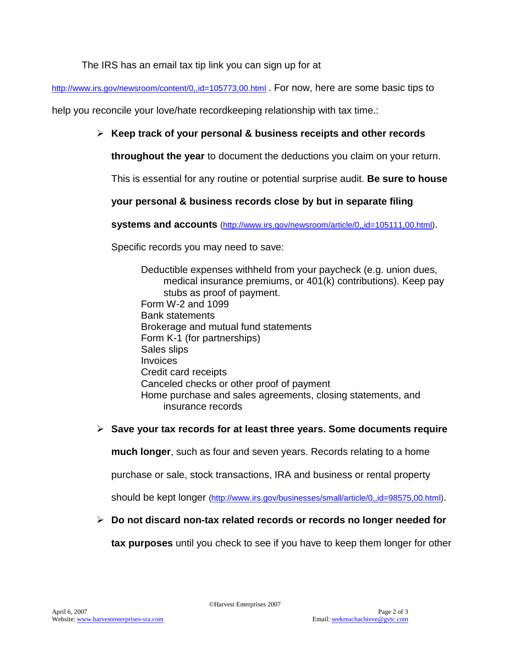The IRS has an email tax tip link you can sign up for at

<http://www.irs.gov/newsroom/content/0,,id=105773,00.html> . For now, here are some basic tips to

help you reconcile your love/hate recordkeeping relationship with tax time.:

### **Keep track of your personal & business receipts and other records**

**throughout the year** to document the deductions you claim on your return.

This is essential for any routine or potential surprise audit. **Be sure to house** 

**your personal & business records close by but in separate filing** 

**systems and accounts** [\(http://www.irs.gov/newsroom/article/0,,id=105111,00.html\)](http://www.irs.gov/newsroom/article/0,,id=105111,00.html).

Specific records you may need to save:

Deductible expenses withheld from your paycheck (e.g. union dues, medical insurance premiums, or 401(k) contributions). Keep pay stubs as proof of payment. Form W-2 and 1099 Bank statements Brokerage and mutual fund statements Form K-1 (for partnerships) Sales slips **Invoices** Credit card receipts Canceled checks or other proof of payment Home purchase and sales agreements, closing statements, and insurance records

#### **Save your tax records for at least three years. Some documents require**

**much longer**, such as four and seven years. Records relating to a home

purchase or sale, stock transactions, IRA and business or rental property

should be kept longer [\(http://www.irs.gov/businesses/small/article/0,,id=98575,00.html\)](http://www.irs.gov/businesses/small/article/0,,id=98575,00.html).

#### **Do not discard non-tax related records or records no longer needed for**

**tax purposes** until you check to see if you have to keep them longer for other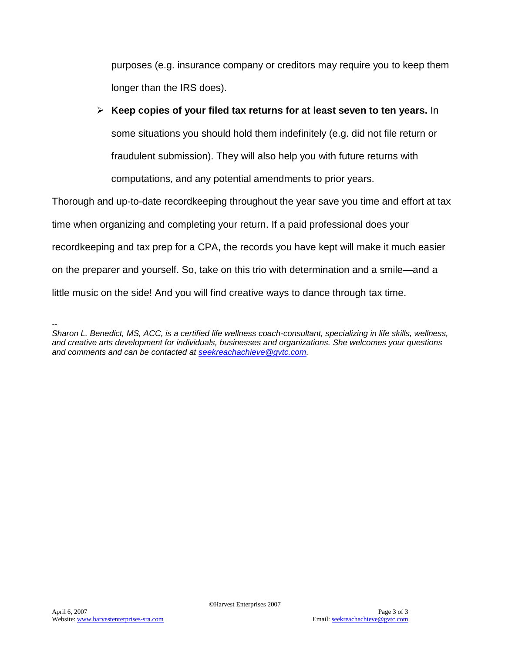purposes (e.g. insurance company or creditors may require you to keep them longer than the IRS does).

## **Keep copies of your filed tax returns for at least seven to ten years.** In some situations you should hold them indefinitely (e.g. did not file return or fraudulent submission). They will also help you with future returns with computations, and any potential amendments to prior years.

Thorough and up-to-date recordkeeping throughout the year save you time and effort at tax time when organizing and completing your return. If a paid professional does your recordkeeping and tax prep for a CPA, the records you have kept will make it much easier on the preparer and yourself. So, take on this trio with determination and a smile—and a little music on the side! And you will find creative ways to dance through tax time.

*<sup>--</sup> Sharon L. Benedict, MS, ACC, is a certified life wellness coach-consultant, specializing in life skills, wellness, and creative arts development for individuals, businesses and organizations. She welcomes your questions and comments and can be contacted at [seekreachachieve@gvtc.com.](mailto:seekreachachieve@gvtc.com)*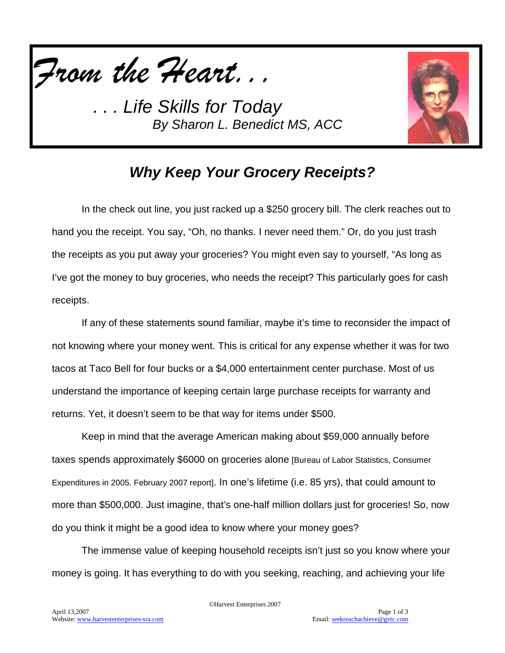

*. . . Life Skills for Today By Sharon L. Benedict MS, ACC*



## *Why Keep Your Grocery Receipts?*

In the check out line, you just racked up a \$250 grocery bill. The clerk reaches out to hand you the receipt. You say, "Oh, no thanks. I never need them." Or, do you just trash the receipts as you put away your groceries? You might even say to yourself, "As long as I've got the money to buy groceries, who needs the receipt? This particularly goes for cash receipts.

If any of these statements sound familiar, maybe it's time to reconsider the impact of not knowing where your money went. This is critical for any expense whether it was for two tacos at Taco Bell for four bucks or a \$4,000 entertainment center purchase. Most of us understand the importance of keeping certain large purchase receipts for warranty and returns. Yet, it doesn't seem to be that way for items under \$500.

Keep in mind that the average American making about \$59,000 annually before taxes spends approximately \$6000 on groceries alone [Bureau of Labor Statistics, Consumer Expenditures in 2005. February 2007 report]. In one's lifetime (i.e. 85 yrs), that could amount to more than \$500,000. Just imagine, that's one-half million dollars just for groceries! So, now do you think it might be a good idea to know where your money goes?

The immense value of keeping household receipts isn't just so you know where your money is going. It has everything to do with you seeking, reaching, and achieving your life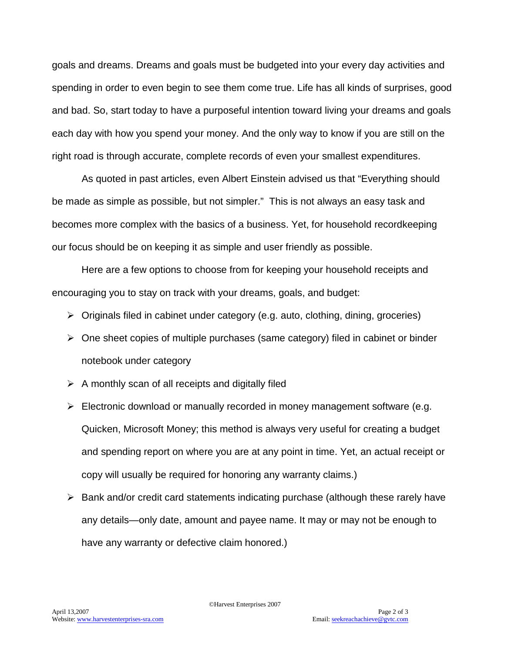goals and dreams. Dreams and goals must be budgeted into your every day activities and spending in order to even begin to see them come true. Life has all kinds of surprises, good and bad. So, start today to have a purposeful intention toward living your dreams and goals each day with how you spend your money. And the only way to know if you are still on the right road is through accurate, complete records of even your smallest expenditures.

As quoted in past articles, even Albert Einstein advised us that "Everything should be made as simple as possible, but not simpler." This is not always an easy task and becomes more complex with the basics of a business. Yet, for household recordkeeping our focus should be on keeping it as simple and user friendly as possible.

Here are a few options to choose from for keeping your household receipts and encouraging you to stay on track with your dreams, goals, and budget:

- $\triangleright$  Originals filed in cabinet under category (e.g. auto, clothing, dining, groceries)
- $\triangleright$  One sheet copies of multiple purchases (same category) filed in cabinet or binder notebook under category
- $\triangleright$  A monthly scan of all receipts and digitally filed
- $\triangleright$  Electronic download or manually recorded in money management software (e.g. Quicken, Microsoft Money; this method is always very useful for creating a budget and spending report on where you are at any point in time. Yet, an actual receipt or copy will usually be required for honoring any warranty claims.)
- $\triangleright$  Bank and/or credit card statements indicating purchase (although these rarely have any details—only date, amount and payee name. It may or may not be enough to have any warranty or defective claim honored.)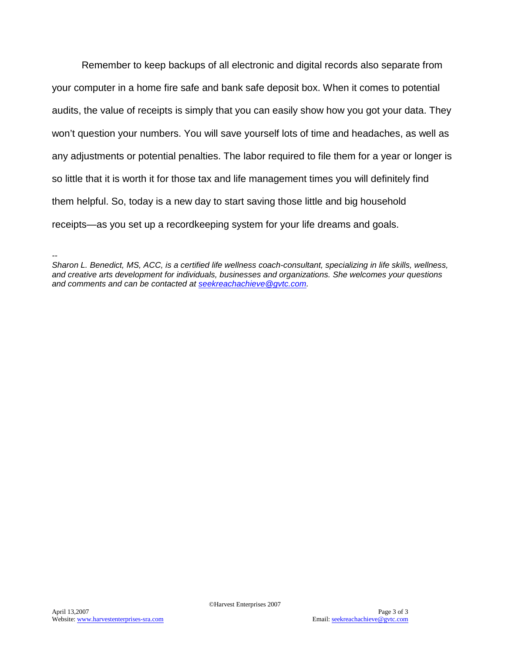Remember to keep backups of all electronic and digital records also separate from your computer in a home fire safe and bank safe deposit box. When it comes to potential audits, the value of receipts is simply that you can easily show how you got your data. They won't question your numbers. You will save yourself lots of time and headaches, as well as any adjustments or potential penalties. The labor required to file them for a year or longer is so little that it is worth it for those tax and life management times you will definitely find them helpful. So, today is a new day to start saving those little and big household receipts—as you set up a recordkeeping system for your life dreams and goals.

*<sup>--</sup> Sharon L. Benedict, MS, ACC, is a certified life wellness coach-consultant, specializing in life skills, wellness, and creative arts development for individuals, businesses and organizations. She welcomes your questions and comments and can be contacted at [seekreachachieve@gvtc.com.](mailto:seekreachachieve@gvtc.com)*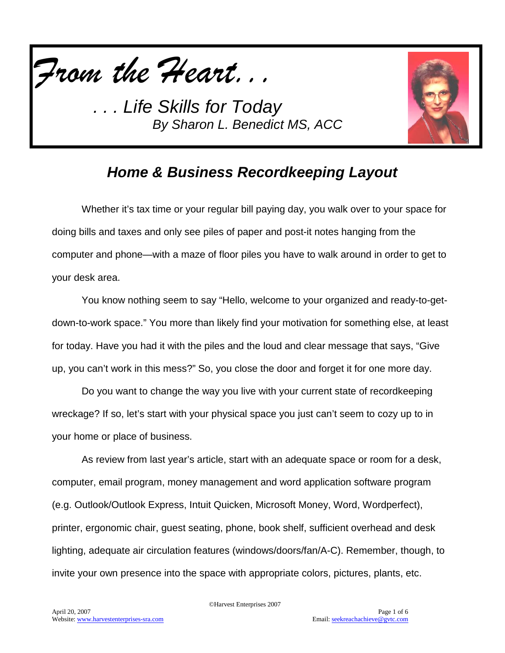

*. . . Life Skills for Today By Sharon L. Benedict MS, ACC*



## *Home & Business Recordkeeping Layout*

Whether it's tax time or your regular bill paying day, you walk over to your space for doing bills and taxes and only see piles of paper and post-it notes hanging from the computer and phone—with a maze of floor piles you have to walk around in order to get to your desk area.

You know nothing seem to say "Hello, welcome to your organized and ready-to-getdown-to-work space." You more than likely find your motivation for something else, at least for today. Have you had it with the piles and the loud and clear message that says, "Give up, you can't work in this mess?" So, you close the door and forget it for one more day.

Do you want to change the way you live with your current state of recordkeeping wreckage? If so, let's start with your physical space you just can't seem to cozy up to in your home or place of business.

As review from last year's article, start with an adequate space or room for a desk, computer, email program, money management and word application software program (e.g. Outlook/Outlook Express, Intuit Quicken, Microsoft Money, Word, Wordperfect), printer, ergonomic chair, guest seating, phone, book shelf, sufficient overhead and desk lighting, adequate air circulation features (windows/doors/fan/A-C). Remember, though, to invite your own presence into the space with appropriate colors, pictures, plants, etc.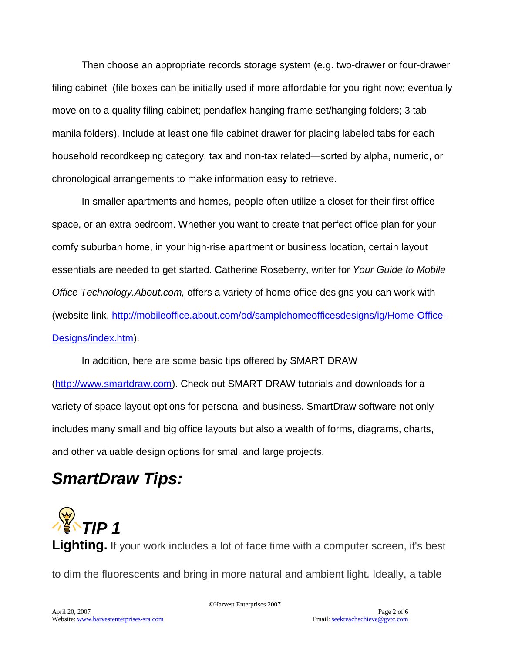Then choose an appropriate records storage system (e.g. two-drawer or four-drawer filing cabinet (file boxes can be initially used if more affordable for you right now; eventually move on to a quality filing cabinet; pendaflex hanging frame set/hanging folders; 3 tab manila folders). Include at least one file cabinet drawer for placing labeled tabs for each household recordkeeping category, tax and non-tax related—sorted by alpha, numeric, or chronological arrangements to make information easy to retrieve.

In smaller apartments and homes, people often utilize a closet for their first office space, or an extra bedroom. Whether you want to create that perfect office plan for your comfy suburban home, in your high-rise apartment or business location, certain layout essentials are needed to get started. Catherine Roseberry, writer for *Your Guide to Mobile Office Technology.About.com,* offers a variety of home office designs you can work with (website link, [http://mobileoffice.about.com/od/samplehomeofficesdesigns/ig/Home-Office-](http://mobileoffice.about.com/od/samplehomeofficesdesigns/ig/Home-Office-Designs/index.htm)[Designs/index.htm\)](http://mobileoffice.about.com/od/samplehomeofficesdesigns/ig/Home-Office-Designs/index.htm).

In addition, here are some basic tips offered by SMART DRAW [\(http://www.smartdraw.com\)](http://www.smartdraw.com/). Check out SMART DRAW tutorials and downloads for a variety of space layout options for personal and business. SmartDraw software not only includes many small and big office layouts but also a wealth of forms, diagrams, charts, and other valuable design options for small and large projects.

# *SmartDraw Tips:*



**Lighting.** If your work includes a lot of face time with a computer screen, it's best to dim the fluorescents and bring in more natural and ambient light. Ideally, a table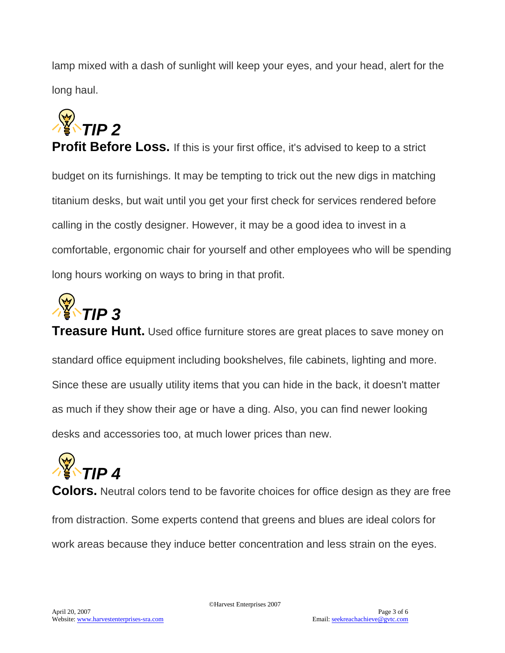lamp mixed with a dash of sunlight will keep your eyes, and your head, alert for the long haul.



**Profit Before Loss.** If this is your first office, it's advised to keep to a strict budget on its furnishings. It may be tempting to trick out the new digs in matching titanium desks, but wait until you get your first check for services rendered before calling in the costly designer. However, it may be a good idea to invest in a comfortable, ergonomic chair for yourself and other employees who will be spending long hours working on ways to bring in that profit.



**Treasure Hunt.** Used office furniture stores are great places to save money on standard office equipment including bookshelves, file cabinets, lighting and more. Since these are usually utility items that you can hide in the back, it doesn't matter as much if they show their age or have a ding. Also, you can find newer looking desks and accessories too, at much lower prices than new.



**Colors.** Neutral colors tend to be favorite choices for office design as they are free from distraction. Some experts contend that greens and blues are ideal colors for work areas because they induce better concentration and less strain on the eyes.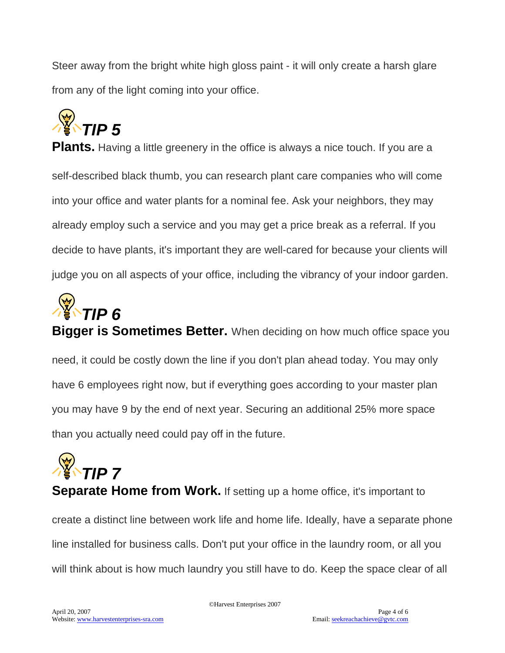Steer away from the bright white high gloss paint - it will only create a harsh glare from any of the light coming into your office.



**Plants.** Having a little greenery in the office is always a nice touch. If you are a self-described black thumb, you can research plant care companies who will come into your office and water plants for a nominal fee. Ask your neighbors, they may already employ such a service and you may get a price break as a referral. If you decide to have plants, it's important they are well-cared for because your clients will judge you on all aspects of your office, including the vibrancy of your indoor garden.



**Bigger is Sometimes Better.** When deciding on how much office space you need, it could be costly down the line if you don't plan ahead today. You may only have 6 employees right now, but if everything goes according to your master plan you may have 9 by the end of next year. Securing an additional 25% more space than you actually need could pay off in the future.

*Y*<br>**TIP 7** 

**Separate Home from Work.** If setting up a home office, it's important to

create a distinct line between work life and home life. Ideally, have a separate phone line installed for business calls. Don't put your office in the laundry room, or all you will think about is how much laundry you still have to do. Keep the space clear of all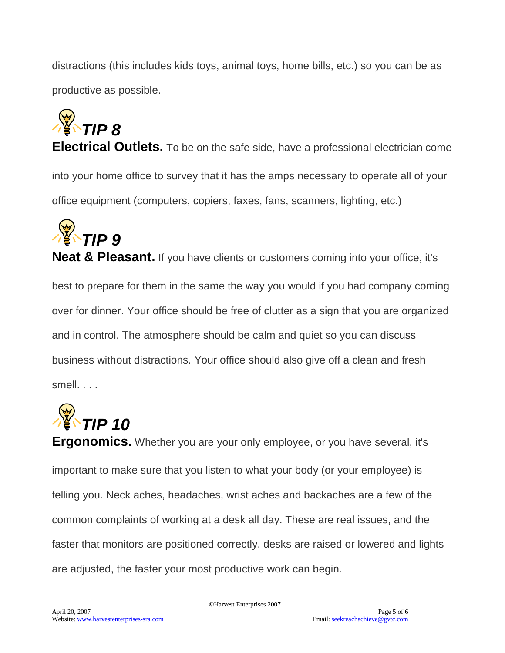distractions (this includes kids toys, animal toys, home bills, etc.) so you can be as productive as possible.



**Electrical Outlets.** To be on the safe side, have a professional electrician come into your home office to survey that it has the amps necessary to operate all of your office equipment (computers, copiers, faxes, fans, scanners, lighting, etc.)



**Neat & Pleasant.** If you have clients or customers coming into your office, it's best to prepare for them in the same the way you would if you had company coming over for dinner. Your office should be free of clutter as a sign that you are organized and in control. The atmosphere should be calm and quiet so you can discuss business without distractions. Your office should also give off a clean and fresh smell. . . .



**Ergonomics.** Whether you are your only employee, or you have several, it's important to make sure that you listen to what your body (or your employee) is telling you. Neck aches, headaches, wrist aches and backaches are a few of the common complaints of working at a desk all day. These are real issues, and the faster that monitors are positioned correctly, desks are raised or lowered and lights are adjusted, the faster your most productive work can begin.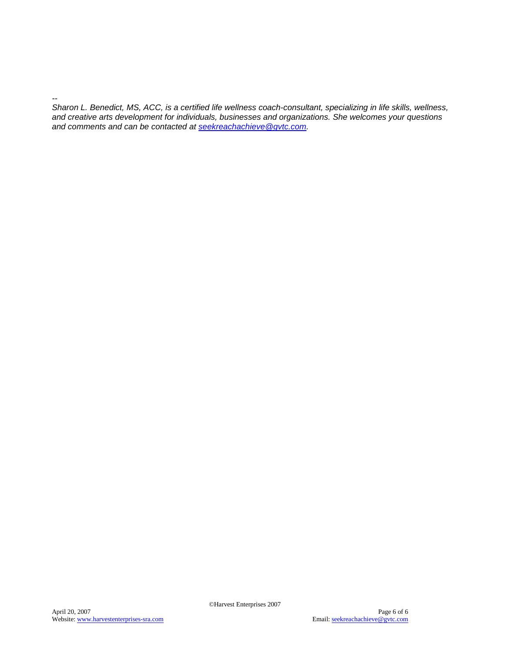*Sharon L. Benedict, MS, ACC, is a certified life wellness coach-consultant, specializing in life skills, wellness, and creative arts development for individuals, businesses and organizations. She welcomes your questions and comments and can be contacted at [seekreachachieve@gvtc.com.](mailto:seekreachachieve@gvtc.com)*

*--*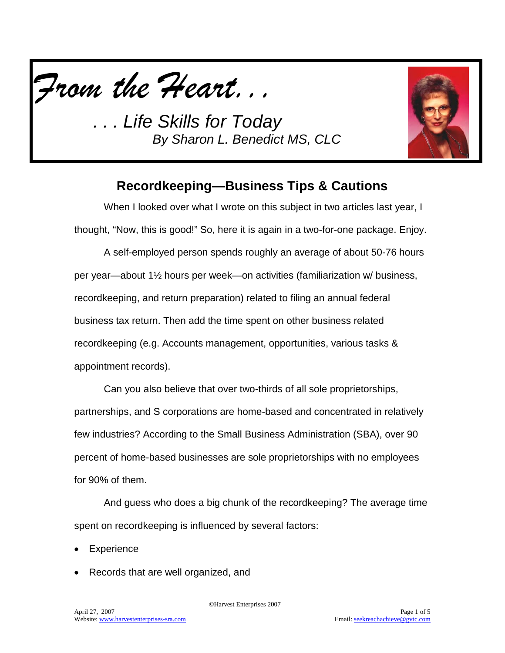*From the Heart...*

*. . . Life Skills for Today By Sharon L. Benedict MS, CLC*



### **Recordkeeping—Business Tips & Cautions**

When I looked over what I wrote on this subject in two articles last year, I thought, "Now, this is good!" So, here it is again in a two-for-one package. Enjoy.

A self-employed person spends roughly an average of about 50-76 hours per year—about 1½ hours per week—on activities (familiarization w/ business, recordkeeping, and return preparation) related to filing an annual federal business tax return. Then add the time spent on other business related recordkeeping (e.g. Accounts management, opportunities, various tasks & appointment records).

Can you also believe that over two-thirds of all sole proprietorships, partnerships, and S corporations are home-based and concentrated in relatively few industries? According to the Small Business Administration (SBA), over 90 percent of home-based businesses are sole proprietorships with no employees for 90% of them.

And guess who does a big chunk of the recordkeeping? The average time spent on recordkeeping is influenced by several factors:

**Experience** 

• Records that are well organized, and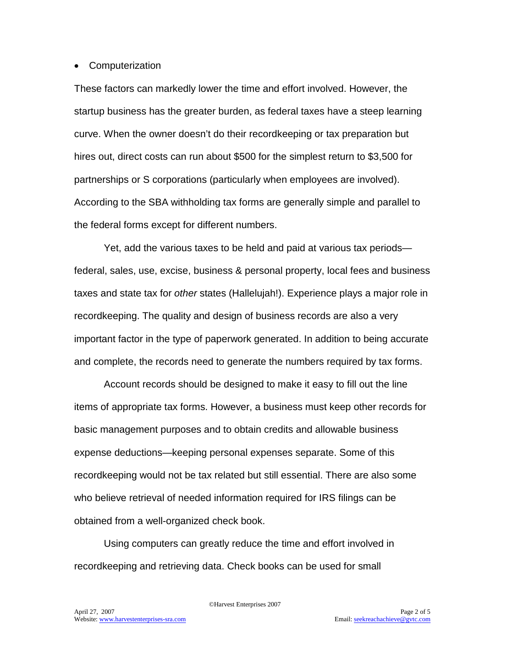#### • Computerization

These factors can markedly lower the time and effort involved. However, the startup business has the greater burden, as federal taxes have a steep learning curve. When the owner doesn't do their recordkeeping or tax preparation but hires out, direct costs can run about \$500 for the simplest return to \$3,500 for partnerships or S corporations (particularly when employees are involved). According to the SBA withholding tax forms are generally simple and parallel to the federal forms except for different numbers.

Yet, add the various taxes to be held and paid at various tax periods federal, sales, use, excise, business & personal property, local fees and business taxes and state tax for *other* states (Hallelujah!). Experience plays a major role in recordkeeping. The quality and design of business records are also a very important factor in the type of paperwork generated. In addition to being accurate and complete, the records need to generate the numbers required by tax forms.

Account records should be designed to make it easy to fill out the line items of appropriate tax forms. However, a business must keep other records for basic management purposes and to obtain credits and allowable business expense deductions—keeping personal expenses separate. Some of this recordkeeping would not be tax related but still essential. There are also some who believe retrieval of needed information required for IRS filings can be obtained from a well-organized check book.

Using computers can greatly reduce the time and effort involved in recordkeeping and retrieving data. Check books can be used for small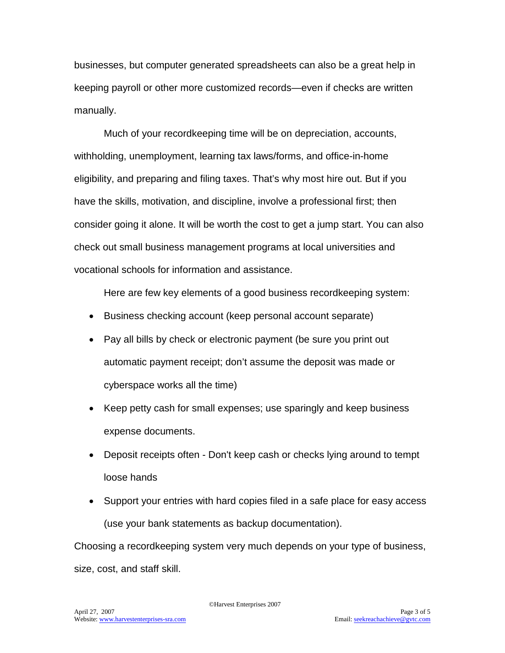businesses, but computer generated spreadsheets can also be a great help in keeping payroll or other more customized records—even if checks are written manually.

Much of your recordkeeping time will be on depreciation, accounts, withholding, unemployment, learning tax laws/forms, and office-in-home eligibility, and preparing and filing taxes. That's why most hire out. But if you have the skills, motivation, and discipline, involve a professional first; then consider going it alone. It will be worth the cost to get a jump start. You can also check out small business management programs at local universities and vocational schools for information and assistance.

Here are few key elements of a good business recordkeeping system:

- Business checking account (keep personal account separate)
- Pay all bills by check or electronic payment (be sure you print out automatic payment receipt; don't assume the deposit was made or cyberspace works all the time)
- Keep petty cash for small expenses; use sparingly and keep business expense documents.
- Deposit receipts often Don't keep cash or checks lying around to tempt loose hands
- Support your entries with hard copies filed in a safe place for easy access (use your bank statements as backup documentation).

Choosing a recordkeeping system very much depends on your type of business, size, cost, and staff skill.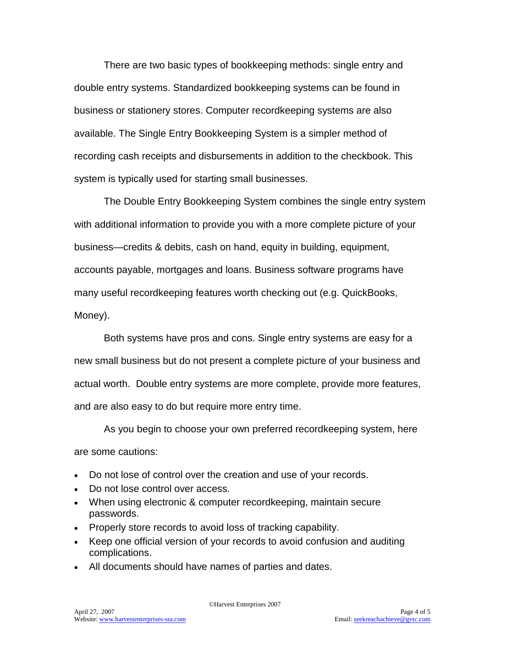There are two basic types of bookkeeping methods: single entry and double entry systems. Standardized bookkeeping systems can be found in business or stationery stores. Computer recordkeeping systems are also available. The Single Entry Bookkeeping System is a simpler method of recording cash receipts and disbursements in addition to the checkbook. This system is typically used for starting small businesses.

The Double Entry Bookkeeping System combines the single entry system with additional information to provide you with a more complete picture of your business—credits & debits, cash on hand, equity in building, equipment, accounts payable, mortgages and loans. Business software programs have many useful recordkeeping features worth checking out (e.g. QuickBooks, Money).

Both systems have pros and cons. Single entry systems are easy for a new small business but do not present a complete picture of your business and actual worth. Double entry systems are more complete, provide more features, and are also easy to do but require more entry time.

As you begin to choose your own preferred recordkeeping system, here are some cautions:

- Do not lose of control over the creation and use of your records.
- Do not lose control over access.
- When using electronic & computer recordkeeping, maintain secure passwords.
- Properly store records to avoid loss of tracking capability.
- Keep one official version of your records to avoid confusion and auditing complications.
- All documents should have names of parties and dates.